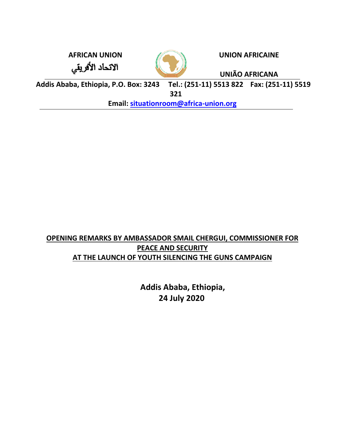الاتحاد الأفريقي



**AFRICAN UNION UNION AFRICAINE**

**UNIÃO AFRICANA**

**Addis Ababa, Ethiopia, P.O. Box: 3243 Tel.: (251-11) 5513 822 Fax: (251-11) 5519 321**

**Email: [situationroom@africa-union.org](mailto:situationroom@africa-union.org)**

# **OPENING REMARKS BY AMBASSADOR SMAIL CHERGUI, COMMISSIONER FOR PEACE AND SECURITY AT THE LAUNCH OF YOUTH SILENCING THE GUNS CAMPAIGN**

 **Addis Ababa, Ethiopia, 24 July 2020**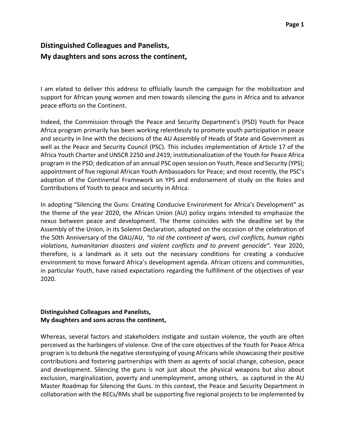## **Distinguished Colleagues and Panelists, My daughters and sons across the continent,**

I am elated to deliver this address to officially launch the campaign for the mobilization and support for African young women and men towards silencing the guns in Africa and to advance peace efforts on the Continent.

Indeed, the Commission through the Peace and Security Department's (PSD) Youth for Peace Africa program primarily has been working relentlessly to promote youth participation in peace and security in line with the decisions of the AU Assembly of Heads of State and Government as well as the Peace and Security Council (PSC). This includes implementation of Article 17 of the Africa Youth Charter and UNSCR 2250 and 2419; institutionalization of the Youth for Peace Africa program in the PSD; dedication of an annual PSC open session on Youth, Peace and Security (YPS); appointment of five regional African Youth Ambassadors for Peace; and most recently, the PSC's adoption of the Continental Framework on YPS and endorsement of study on the Roles and Contributions of Youth to peace and security in Africa.

In adopting "Silencing the Guns: Creating Conducive Environment for Africa's Development" as the theme of the year 2020, the African Union (AU) policy organs intended to emphasize the nexus between peace and development. The theme coincides with the deadline set by the Assembly of the Union, in its Solemn Declaration, adopted on the occasion of the celebration of the 50th Anniversary of the OAU/AU, *"to rid the continent of wars, civil conflicts, human rights violations, humanitarian disasters and violent conflicts and to prevent genocide".* Year 2020, therefore, is a landmark as it sets out the necessary conditions for creating a conducive environment to move forward Africa's development agenda. African citizens and communities, in particular Youth, have raised expectations regarding the fulfillment of the objectives of year 2020.

## **Distinguished Colleagues and Panelists, My daughters and sons across the continent,**

Whereas, several factors and stakeholders instigate and sustain violence, the youth are often perceived as the harbingers of violence. One of the core objectives of the Youth for Peace Africa program is to debunk the negative stereotyping of young Africans while showcasing their positive contributions and fostering partnerships with them as agents of social change, cohesion, peace and development. Silencing the guns is not just about the physical weapons but also about exclusion, marginalization, poverty and unemployment, among others, as captured in the AU Master Roadmap for Silencing the Guns. In this context, the Peace and Security Department in collaboration with the RECs/RMs shall be supporting five regional projects to be implemented by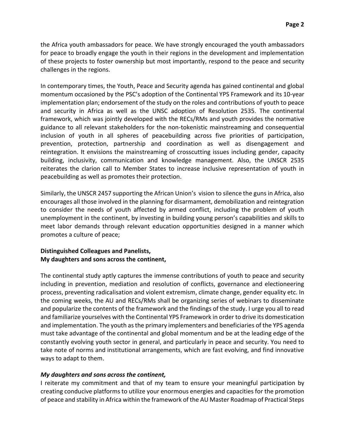the Africa youth ambassadors for peace. We have strongly encouraged the youth ambassadors for peace to broadly engage the youth in their regions in the development and implementation of these projects to foster ownership but most importantly, respond to the peace and security challenges in the regions.

In contemporary times, the Youth, Peace and Security agenda has gained continental and global momentum occasioned by the PSC's adoption of the Continental YPS Framework and its 10-year implementation plan; endorsement of the study on the roles and contributions of youth to peace and security in Africa as well as the UNSC adoption of Resolution 2535. The continental framework, which was jointly developed with the RECs/RMs and youth provides the normative guidance to all relevant stakeholders for the non-tokenistic mainstreaming and consequential inclusion of youth in all spheres of peacebuilding across five priorities of participation, prevention, protection, partnership and coordination as well as disengagement and reintegration. It envisions the mainstreaming of crosscutting issues including gender, capacity building, inclusivity, communication and knowledge management. Also, the UNSCR 2535 reiterates the clarion call to Member States to increase inclusive representation of youth in peacebuilding as well as promotes their protection.

Similarly, the UNSCR 2457 supporting the African Union's vision to silence the guns in Africa, also encourages all those involved in the planning for disarmament, demobilization and reintegration to consider the needs of youth affected by armed conflict, including the problem of youth unemployment in the continent, by investing in building young person's capabilities and skills to meet labor demands through relevant education opportunities designed in a manner which promotes a culture of peace;

#### **Distinguished Colleagues and Panelists, My daughters and sons across the continent,**

The continental study aptly captures the immense contributions of youth to peace and security including in prevention, mediation and resolution of conflicts, governance and electioneering process, preventing radicalisation and violent extremism, climate change, gender equality etc. In the coming weeks, the AU and RECs/RMs shall be organizing series of webinars to disseminate and popularize the contents of the framework and the findings of the study. I urge you all to read and familiarize yourselves with the Continental YPS Framework in order to drive its domestication and implementation. The youth as the primary implementers and beneficiaries of the YPS agenda must take advantage of the continental and global momentum and be at the leading edge of the constantly evolving youth sector in general, and particularly in peace and security. You need to take note of norms and institutional arrangements, which are fast evolving, and find innovative ways to adapt to them.

#### *My daughters and sons across the continent,*

I reiterate my commitment and that of my team to ensure your meaningful participation by creating conducive platforms to utilize your enormous energies and capacities for the promotion of peace and stability in Africa within the framework of the AU Master Roadmap of Practical Steps